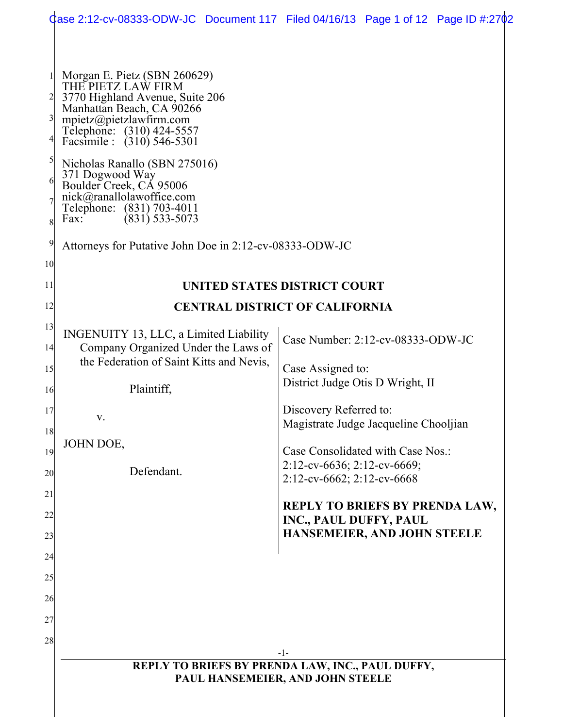|                                                                     |                                                                                                                                                                                                                                                                                                                                                                                                                                          | Gase 2:12-cv-08333-ODW-JC Document 117 Filed 04/16/13 Page 1 of 12 Page ID #:2702              |  |  |  |  |  |
|---------------------------------------------------------------------|------------------------------------------------------------------------------------------------------------------------------------------------------------------------------------------------------------------------------------------------------------------------------------------------------------------------------------------------------------------------------------------------------------------------------------------|------------------------------------------------------------------------------------------------|--|--|--|--|--|
| $\vert 3 \vert$<br>5<br>6<br>8<br>$\overline{9}$<br>10 <sup>1</sup> | Morgan E. Pietz (SBN 260629)<br>THE PIETZ LAW FIRM<br>3770 Highland Avenue, Suite 206<br>Manhattan Beach, CA 90266<br>mpietz@pietzlawfirm.com<br>Telephone: (310) 424-5557<br>Facsimile : (310) 546-5301<br>Nicholas Ranallo (SBN 275016)<br>371 Dogwood Way<br>Boulder Creek, CA 95006<br>nick@ranallolawoffice.com<br>Telephone: (831) 703-4011<br>$(831)$ 533-5073<br>Fax:<br>Attorneys for Putative John Doe in 2:12-cv-08333-ODW-JC |                                                                                                |  |  |  |  |  |
| 11                                                                  |                                                                                                                                                                                                                                                                                                                                                                                                                                          | <b>UNITED STATES DISTRICT COURT</b>                                                            |  |  |  |  |  |
| 12                                                                  | <b>CENTRAL DISTRICT OF CALIFORNIA</b>                                                                                                                                                                                                                                                                                                                                                                                                    |                                                                                                |  |  |  |  |  |
| 13                                                                  | INGENUITY 13, LLC, a Limited Liability                                                                                                                                                                                                                                                                                                                                                                                                   | Case Number: 2:12-cv-08333-ODW-JC                                                              |  |  |  |  |  |
| 14                                                                  | Company Organized Under the Laws of<br>the Federation of Saint Kitts and Nevis,                                                                                                                                                                                                                                                                                                                                                          |                                                                                                |  |  |  |  |  |
| 15<br><sup>16</sup>                                                 | Plaintiff,                                                                                                                                                                                                                                                                                                                                                                                                                               | Case Assigned to:<br>District Judge Otis D Wright, II                                          |  |  |  |  |  |
| 17                                                                  | V.                                                                                                                                                                                                                                                                                                                                                                                                                                       | Discovery Referred to:                                                                         |  |  |  |  |  |
| 18                                                                  |                                                                                                                                                                                                                                                                                                                                                                                                                                          | Magistrate Judge Jacqueline Chooljian                                                          |  |  |  |  |  |
| 19                                                                  | <b>JOHN DOE,</b>                                                                                                                                                                                                                                                                                                                                                                                                                         | Case Consolidated with Case Nos.:<br>2:12-cv-6636; 2:12-cv-6669;<br>2:12-cv-6662; 2:12-cv-6668 |  |  |  |  |  |
| 20                                                                  | Defendant.                                                                                                                                                                                                                                                                                                                                                                                                                               |                                                                                                |  |  |  |  |  |
| 21<br>22                                                            |                                                                                                                                                                                                                                                                                                                                                                                                                                          | <b>REPLY TO BRIEFS BY PRENDA LAW,</b><br>INC., PAUL DUFFY, PAUL                                |  |  |  |  |  |
| 23                                                                  |                                                                                                                                                                                                                                                                                                                                                                                                                                          | HANSEMEIER, AND JOHN STEELE                                                                    |  |  |  |  |  |
| 24                                                                  |                                                                                                                                                                                                                                                                                                                                                                                                                                          |                                                                                                |  |  |  |  |  |
| 25                                                                  |                                                                                                                                                                                                                                                                                                                                                                                                                                          |                                                                                                |  |  |  |  |  |
| 26<br>27                                                            |                                                                                                                                                                                                                                                                                                                                                                                                                                          |                                                                                                |  |  |  |  |  |
| 28                                                                  |                                                                                                                                                                                                                                                                                                                                                                                                                                          |                                                                                                |  |  |  |  |  |
|                                                                     |                                                                                                                                                                                                                                                                                                                                                                                                                                          | -1-                                                                                            |  |  |  |  |  |
|                                                                     |                                                                                                                                                                                                                                                                                                                                                                                                                                          | REPLY TO BRIEFS BY PRENDA LAW, INC., PAUL DUFFY,<br>PAUL HANSEMEIER, AND JOHN STEELE           |  |  |  |  |  |
|                                                                     |                                                                                                                                                                                                                                                                                                                                                                                                                                          |                                                                                                |  |  |  |  |  |
|                                                                     |                                                                                                                                                                                                                                                                                                                                                                                                                                          |                                                                                                |  |  |  |  |  |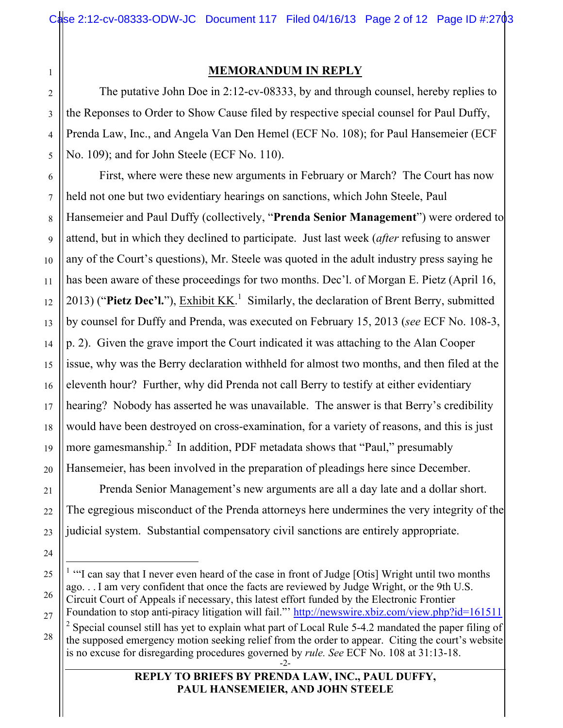### **MEMORANDUM IN REPLY**

The putative John Doe in 2:12-cv-08333, by and through counsel, hereby replies to the Reponses to Order to Show Cause filed by respective special counsel for Paul Duffy, Prenda Law, Inc., and Angela Van Den Hemel (ECF No. 108); for Paul Hansemeier (ECF No. 109); and for John Steele (ECF No. 110).

First, where were these new arguments in February or March? The Court has now held not one but two evidentiary hearings on sanctions, which John Steele, Paul Hansemeier and Paul Duffy (collectively, "**Prenda Senior Management**") were ordered to attend, but in which they declined to participate. Just last week (*after* refusing to answer any of the Court's questions), Mr. Steele was quoted in the adult industry press saying he has been aware of these proceedings for two months. Dec'l. of Morgan E. Pietz (April 16, 2013) ("Pietz Dec'l."), **Exhibit KK.**<sup>1</sup> Similarly, the declaration of Brent Berry, submitted by counsel for Duffy and Prenda, was executed on February 15, 2013 (*see* ECF No. 108-3, p. 2). Given the grave import the Court indicated it was attaching to the Alan Cooper issue, why was the Berry declaration withheld for almost two months, and then filed at the eleventh hour? Further, why did Prenda not call Berry to testify at either evidentiary hearing? Nobody has asserted he was unavailable. The answer is that Berry's credibility would have been destroyed on cross-examination, for a variety of reasons, and this is just more gamesmanship.<sup>2</sup> In addition, PDF metadata shows that "Paul," presumably Hansemeier, has been involved in the preparation of pleadings here since December.

Prenda Senior Management's new arguments are all a day late and a dollar short. The egregious misconduct of the Prenda attorneys here undermines the very integrity of the judicial system. Substantial compensatory civil sanctions are entirely appropriate.

### **REPLY TO BRIEFS BY PRENDA LAW, INC., PAUL DUFFY, PAUL HANSEMEIER, AND JOHN STEELE**

<sup>-2-</sup>  $\frac{1}{1}$ <sup>1</sup> "I can say that I never even heard of the case in front of Judge [Otis] Wright until two months ago. . . I am very confident that once the facts are reviewed by Judge Wright, or the 9th U.S. Circuit Court of Appeals if necessary, this latest effort funded by the Electronic Frontier Foundation to stop anti-piracy litigation will fail."' http://newswire.xbiz.com/view.php?id=161511 <sup>2</sup> Special counsel still has yet to explain what part of Local Rule 5-4.2 mandated the paper filing of the supposed emergency motion seeking relief from the order to appear. Citing the court's website is no excuse for disregarding procedures governed by *rule. See* ECF No. 108 at 31:13-18.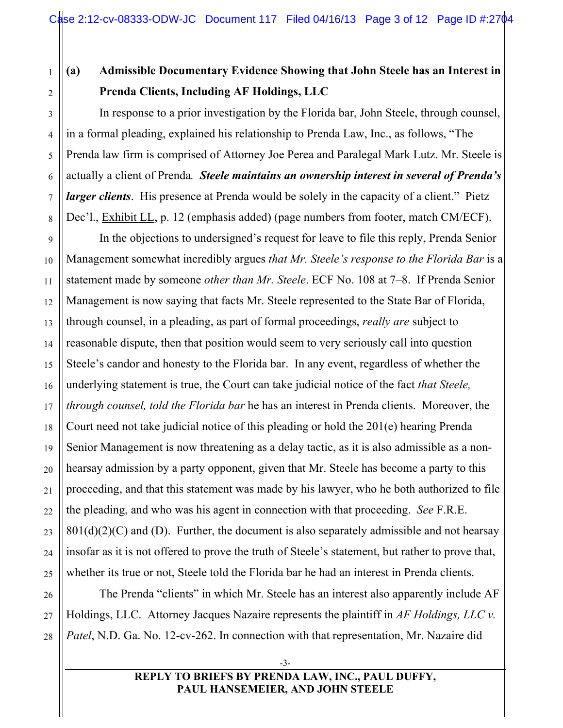1 2

3

4

5

6

7

8

9

10

11

12

13

15

16

17

18

19

20

21

22

23

24

26

27

28

# **(a) Admissible Documentary Evidence Showing that John Steele has an Interest in Prenda Clients, Including AF Holdings, LLC**

In response to a prior investigation by the Florida bar, John Steele, through counsel, in a formal pleading, explained his relationship to Prenda Law, Inc., as follows, "The Prenda law firm is comprised of Attorney Joe Perea and Paralegal Mark Lutz. Mr. Steele is actually a client of Prenda*. Steele maintains an ownership interest in several of Prenda's larger clients*. His presence at Prenda would be solely in the capacity of a client." Pietz Dec'l., Exhibit LL, p. 12 (emphasis added) (page numbers from footer, match CM/ECF).

14 25 In the objections to undersigned's request for leave to file this reply, Prenda Senior Management somewhat incredibly argues *that Mr. Steele's response to the Florida Bar* is a statement made by someone *other than Mr. Steele*. ECF No. 108 at 7–8. If Prenda Senior Management is now saying that facts Mr. Steele represented to the State Bar of Florida, through counsel, in a pleading, as part of formal proceedings, *really are* subject to reasonable dispute, then that position would seem to very seriously call into question Steele's candor and honesty to the Florida bar. In any event, regardless of whether the underlying statement is true, the Court can take judicial notice of the fact *that Steele, through counsel, told the Florida bar* he has an interest in Prenda clients. Moreover, the Court need not take judicial notice of this pleading or hold the 201(e) hearing Prenda Senior Management is now threatening as a delay tactic, as it is also admissible as a nonhearsay admission by a party opponent, given that Mr. Steele has become a party to this proceeding, and that this statement was made by his lawyer, who he both authorized to file the pleading, and who was his agent in connection with that proceeding. *See* F.R.E.  $801(d)(2)(C)$  and (D). Further, the document is also separately admissible and not hearsay insofar as it is not offered to prove the truth of Steele's statement, but rather to prove that, whether its true or not, Steele told the Florida bar he had an interest in Prenda clients.

The Prenda "clients" in which Mr. Steele has an interest also apparently include AF Holdings, LLC. Attorney Jacques Nazaire represents the plaintiff in *AF Holdings, LLC v. Patel*, N.D. Ga. No. 12-cv-262. In connection with that representation, Mr. Nazaire did

### -3- **REPLY TO BRIEFS BY PRENDA LAW, INC., PAUL DUFFY, PAUL HANSEMEIER, AND JOHN STEELE**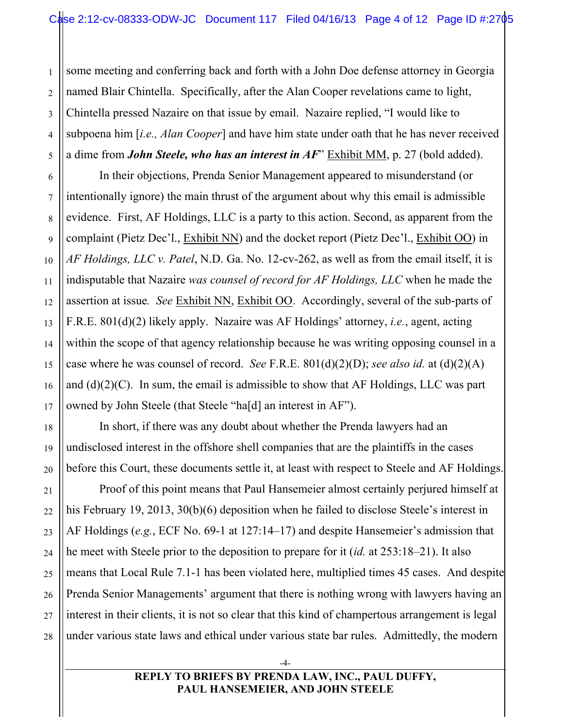1 2 3 4 5 some meeting and conferring back and forth with a John Doe defense attorney in Georgia named Blair Chintella. Specifically, after the Alan Cooper revelations came to light, Chintella pressed Nazaire on that issue by email. Nazaire replied, "I would like to subpoena him [*i.e., Alan Cooper*] and have him state under oath that he has never received a dime from *John Steele, who has an interest in AF*" Exhibit MM, p. 27 (bold added).

6

7

8

9

10

11

12

13

14

15

16

17

18

19

20

21

22

23

24

25

26

27

28

In their objections, Prenda Senior Management appeared to misunderstand (or intentionally ignore) the main thrust of the argument about why this email is admissible evidence. First, AF Holdings, LLC is a party to this action. Second, as apparent from the complaint (Pietz Dec'l., Exhibit NN) and the docket report (Pietz Dec'l., Exhibit OO) in *AF Holdings, LLC v. Patel*, N.D. Ga. No. 12-cv-262, as well as from the email itself, it is indisputable that Nazaire *was counsel of record for AF Holdings, LLC* when he made the assertion at issue*. See* Exhibit NN, Exhibit OO. Accordingly, several of the sub-parts of F.R.E. 801(d)(2) likely apply. Nazaire was AF Holdings' attorney, *i.e.*, agent, acting within the scope of that agency relationship because he was writing opposing counsel in a case where he was counsel of record. *See* F.R.E. 801(d)(2)(D); *see also id.* at (d)(2)(A) and (d)(2)(C). In sum, the email is admissible to show that AF Holdings, LLC was part owned by John Steele (that Steele "ha[d] an interest in AF").

In short, if there was any doubt about whether the Prenda lawyers had an undisclosed interest in the offshore shell companies that are the plaintiffs in the cases before this Court, these documents settle it, at least with respect to Steele and AF Holdings.

Proof of this point means that Paul Hansemeier almost certainly perjured himself at his February 19, 2013, 30(b)(6) deposition when he failed to disclose Steele's interest in AF Holdings (*e.g.*, ECF No. 69-1 at 127:14–17) and despite Hansemeier's admission that he meet with Steele prior to the deposition to prepare for it (*id.* at 253:18–21). It also means that Local Rule 7.1-1 has been violated here, multiplied times 45 cases. And despite Prenda Senior Managements' argument that there is nothing wrong with lawyers having an interest in their clients, it is not so clear that this kind of champertous arrangement is legal under various state laws and ethical under various state bar rules. Admittedly, the modern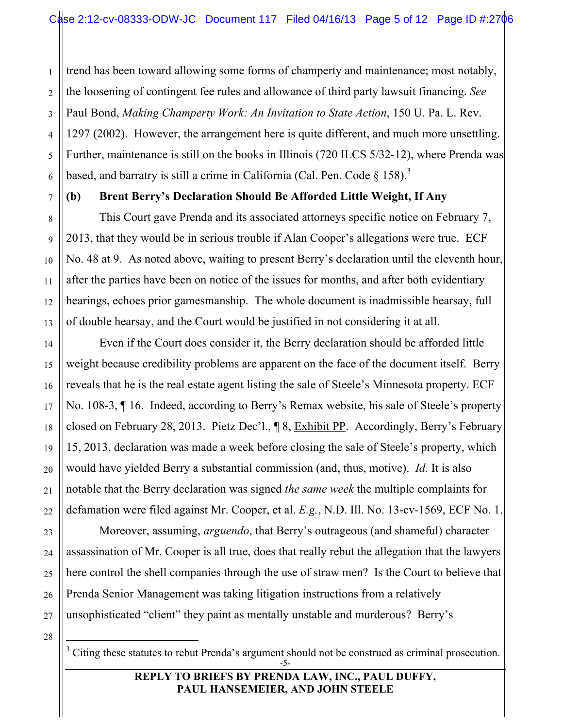trend has been toward allowing some forms of champerty and maintenance; most notably, the loosening of contingent fee rules and allowance of third party lawsuit financing. *See*  Paul Bond, *Making Champerty Work: An Invitation to State Action*, 150 U. Pa. L. Rev. 1297 (2002). However, the arrangement here is quite different, and much more unsettling. Further, maintenance is still on the books in Illinois (720 ILCS 5/32-12), where Prenda was based, and barratry is still a crime in California (Cal. Pen. Code  $\S$  158).<sup>3</sup>

## **(b) Brent Berry's Declaration Should Be Afforded Little Weight, If Any**

This Court gave Prenda and its associated attorneys specific notice on February 7, 2013, that they would be in serious trouble if Alan Cooper's allegations were true. ECF No. 48 at 9. As noted above, waiting to present Berry's declaration until the eleventh hour, after the parties have been on notice of the issues for months, and after both evidentiary hearings, echoes prior gamesmanship. The whole document is inadmissible hearsay, full of double hearsay, and the Court would be justified in not considering it at all.

Even if the Court does consider it, the Berry declaration should be afforded little weight because credibility problems are apparent on the face of the document itself. Berry reveals that he is the real estate agent listing the sale of Steele's Minnesota property. ECF No. 108-3, ¶ 16. Indeed, according to Berry's Remax website, his sale of Steele's property closed on February 28, 2013. Pietz Dec'l., ¶ 8, Exhibit PP. Accordingly, Berry's February 15, 2013, declaration was made a week before closing the sale of Steele's property, which would have yielded Berry a substantial commission (and, thus, motive). *Id.* It is also notable that the Berry declaration was signed *the same week* the multiple complaints for defamation were filed against Mr. Cooper, et al. *E.g.*, N.D. Ill. No. 13-cv-1569, ECF No. 1.

Moreover, assuming, *arguendo*, that Berry's outrageous (and shameful) character assassination of Mr. Cooper is all true, does that really rebut the allegation that the lawyers here control the shell companies through the use of straw men? Is the Court to believe that Prenda Senior Management was taking litigation instructions from a relatively unsophisticated "client" they paint as mentally unstable and murderous? Berry's

-5-  $3$  Citing these statutes to rebut Prenda's argument should not be construed as criminal prosecution.

### **REPLY TO BRIEFS BY PRENDA LAW, INC., PAUL DUFFY, PAUL HANSEMEIER, AND JOHN STEELE**

 $\frac{1}{3}$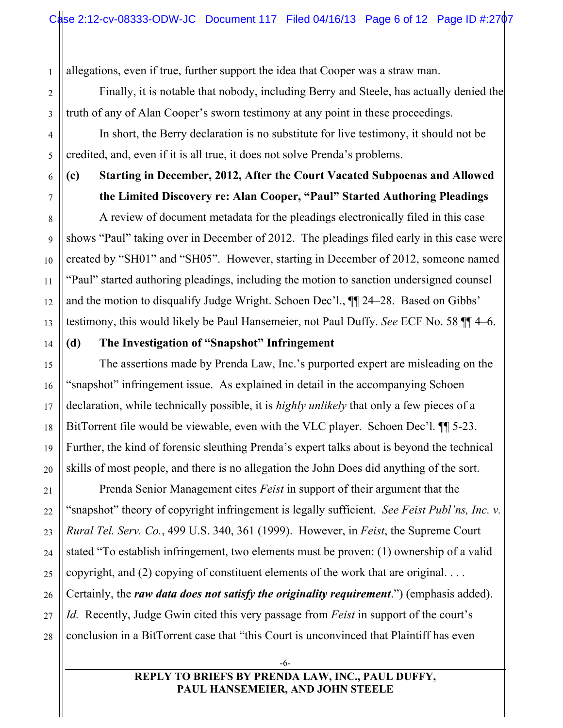allegations, even if true, further support the idea that Cooper was a straw man.

Finally, it is notable that nobody, including Berry and Steele, has actually denied the truth of any of Alan Cooper's sworn testimony at any point in these proceedings.

In short, the Berry declaration is no substitute for live testimony, it should not be credited, and, even if it is all true, it does not solve Prenda's problems.

## **(c) Starting in December, 2012, After the Court Vacated Subpoenas and Allowed the Limited Discovery re: Alan Cooper, "Paul" Started Authoring Pleadings**

A review of document metadata for the pleadings electronically filed in this case shows "Paul" taking over in December of 2012. The pleadings filed early in this case were created by "SH01" and "SH05". However, starting in December of 2012, someone named "Paul" started authoring pleadings, including the motion to sanction undersigned counsel and the motion to disqualify Judge Wright. Schoen Dec'l., ¶¶ 24–28. Based on Gibbs' testimony, this would likely be Paul Hansemeier, not Paul Duffy. *See* ECF No. 58 ¶¶ 4–6.

### **(d) The Investigation of "Snapshot" Infringement**

The assertions made by Prenda Law, Inc.'s purported expert are misleading on the "snapshot" infringement issue. As explained in detail in the accompanying Schoen declaration, while technically possible, it is *highly unlikely* that only a few pieces of a BitTorrent file would be viewable, even with the VLC player. Schoen Dec'l. ¶¶ 5-23. Further, the kind of forensic sleuthing Prenda's expert talks about is beyond the technical skills of most people, and there is no allegation the John Does did anything of the sort.

Prenda Senior Management cites *Feist* in support of their argument that the "snapshot" theory of copyright infringement is legally sufficient. *See Feist Publ'ns, Inc. v. Rural Tel. Serv. Co.*, 499 U.S. 340, 361 (1999). However, in *Feist*, the Supreme Court stated "To establish infringement, two elements must be proven: (1) ownership of a valid copyright, and (2) copying of constituent elements of the work that are original. . . . Certainly, the *raw data does not satisfy the originality requirement*.") (emphasis added). *Id.* Recently, Judge Gwin cited this very passage from *Feist* in support of the court's conclusion in a BitTorrent case that "this Court is unconvinced that Plaintiff has even

> -6- **REPLY TO BRIEFS BY PRENDA LAW, INC., PAUL DUFFY, PAUL HANSEMEIER, AND JOHN STEELE**

28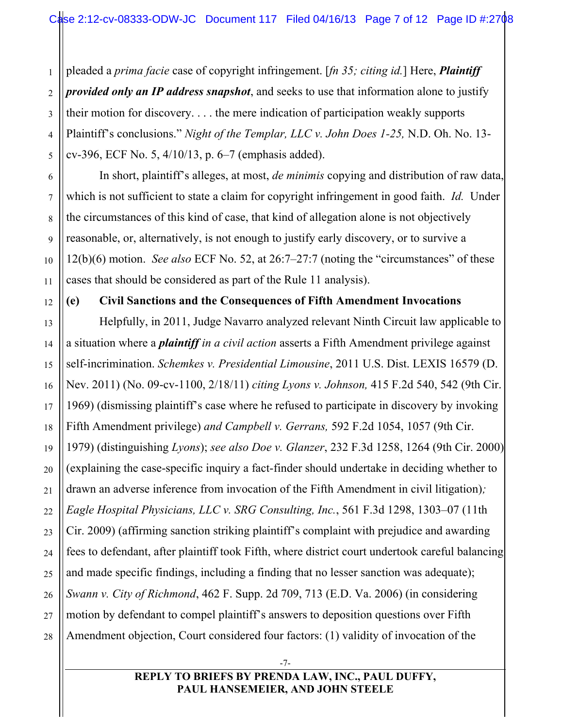1 2 3 4 5 pleaded a *prima facie* case of copyright infringement. [*fn 35; citing id.*] Here, *Plaintiff provided only an IP address snapshot*, and seeks to use that information alone to justify their motion for discovery. . . . the mere indication of participation weakly supports Plaintiff's conclusions." *Night of the Templar, LLC v. John Does 1-25,* N.D. Oh. No. 13 cv-396, ECF No. 5, 4/10/13, p. 6–7 (emphasis added).

In short, plaintiff's alleges, at most, *de minimis* copying and distribution of raw data, which is not sufficient to state a claim for copyright infringement in good faith. *Id.* Under the circumstances of this kind of case, that kind of allegation alone is not objectively reasonable, or, alternatively, is not enough to justify early discovery, or to survive a 12(b)(6) motion. *See also* ECF No. 52, at 26:7–27:7 (noting the "circumstances" of these cases that should be considered as part of the Rule 11 analysis).

6

### **(e) Civil Sanctions and the Consequences of Fifth Amendment Invocations**

Helpfully, in 2011, Judge Navarro analyzed relevant Ninth Circuit law applicable to a situation where a *plaintiff in a civil action* asserts a Fifth Amendment privilege against self-incrimination. *Schemkes v. Presidential Limousine*, 2011 U.S. Dist. LEXIS 16579 (D. Nev. 2011) (No. 09-cv-1100, 2/18/11) *citing Lyons v. Johnson,* 415 F.2d 540, 542 (9th Cir. 1969) (dismissing plaintiff's case where he refused to participate in discovery by invoking Fifth Amendment privilege) *and Campbell v. Gerrans,* 592 F.2d 1054, 1057 (9th Cir. 1979) (distinguishing *Lyons*); *see also Doe v. Glanzer*, 232 F.3d 1258, 1264 (9th Cir. 2000) (explaining the case-specific inquiry a fact-finder should undertake in deciding whether to drawn an adverse inference from invocation of the Fifth Amendment in civil litigation)*; Eagle Hospital Physicians, LLC v. SRG Consulting, Inc.*, 561 F.3d 1298, 1303–07 (11th Cir. 2009) (affirming sanction striking plaintiff's complaint with prejudice and awarding fees to defendant, after plaintiff took Fifth, where district court undertook careful balancing and made specific findings, including a finding that no lesser sanction was adequate); *Swann v. City of Richmond*, 462 F. Supp. 2d 709, 713 (E.D. Va. 2006) (in considering motion by defendant to compel plaintiff's answers to deposition questions over Fifth Amendment objection, Court considered four factors: (1) validity of invocation of the

### -7- **REPLY TO BRIEFS BY PRENDA LAW, INC., PAUL DUFFY, PAUL HANSEMEIER, AND JOHN STEELE**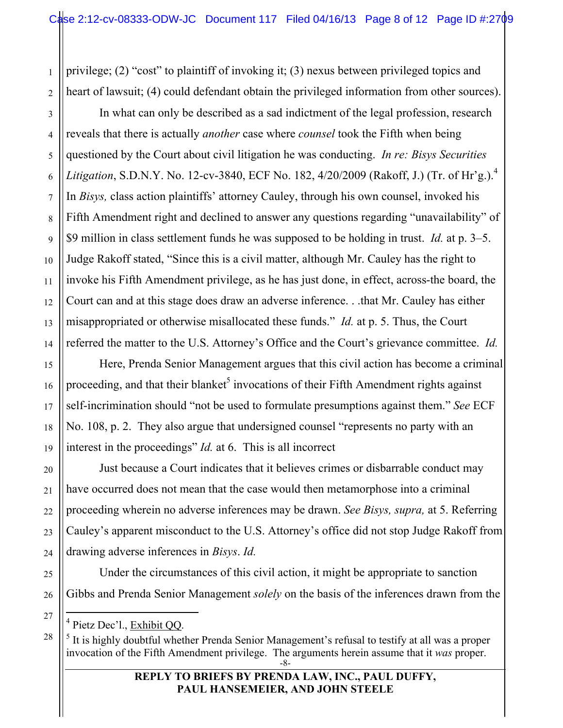privilege; (2) "cost" to plaintiff of invoking it; (3) nexus between privileged topics and heart of lawsuit; (4) could defendant obtain the privileged information from other sources).

In what can only be described as a sad indictment of the legal profession, research reveals that there is actually *another* case where *counsel* took the Fifth when being questioned by the Court about civil litigation he was conducting. *In re: Bisys Securities Litigation*, S.D.N.Y. No. 12-cv-3840, ECF No. 182, 4/20/2009 (Rakoff, J.) (Tr. of Hr'g.).<sup>4</sup> In *Bisys,* class action plaintiffs' attorney Cauley, through his own counsel, invoked his Fifth Amendment right and declined to answer any questions regarding "unavailability" of \$9 million in class settlement funds he was supposed to be holding in trust. *Id.* at p. 3–5. Judge Rakoff stated, "Since this is a civil matter, although Mr. Cauley has the right to invoke his Fifth Amendment privilege, as he has just done, in effect, across-the board, the Court can and at this stage does draw an adverse inference. . .that Mr. Cauley has either misappropriated or otherwise misallocated these funds." *Id.* at p. 5. Thus, the Court referred the matter to the U.S. Attorney's Office and the Court's grievance committee. *Id.* 

Here, Prenda Senior Management argues that this civil action has become a criminal proceeding, and that their blanket<sup>5</sup> invocations of their Fifth Amendment rights against self-incrimination should "not be used to formulate presumptions against them." *See* ECF No. 108, p. 2. They also argue that undersigned counsel "represents no party with an interest in the proceedings" *Id.* at 6. This is all incorrect

Just because a Court indicates that it believes crimes or disbarrable conduct may have occurred does not mean that the case would then metamorphose into a criminal proceeding wherein no adverse inferences may be drawn. *See Bisys, supra,* at 5. Referring Cauley's apparent misconduct to the U.S. Attorney's office did not stop Judge Rakoff from drawing adverse inferences in *Bisys*. *Id.* 

Under the circumstances of this civil action, it might be appropriate to sanction Gibbs and Prenda Senior Management *solely* on the basis of the inferences drawn from the

 $\frac{1}{4}$ <sup>4</sup> Pietz Dec'l., Exhibit OO.

<sup>-8-</sup>  $<sup>5</sup>$  It is highly doubtful whether Prenda Senior Management's refusal to testify at all was a proper</sup> invocation of the Fifth Amendment privilege. The arguments herein assume that it *was* proper.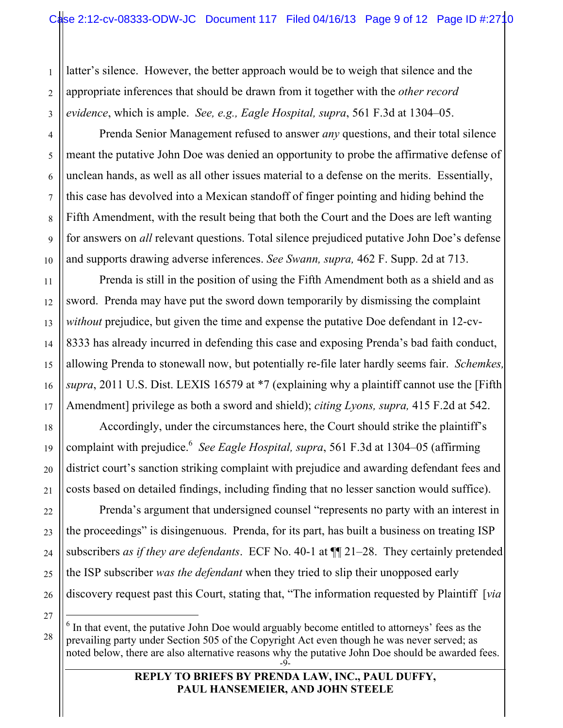latter's silence. However, the better approach would be to weigh that silence and the appropriate inferences that should be drawn from it together with the *other record evidence*, which is ample. *See, e.g., Eagle Hospital, supra*, 561 F.3d at 1304–05.

Prenda Senior Management refused to answer *any* questions, and their total silence meant the putative John Doe was denied an opportunity to probe the affirmative defense of unclean hands, as well as all other issues material to a defense on the merits. Essentially, this case has devolved into a Mexican standoff of finger pointing and hiding behind the Fifth Amendment, with the result being that both the Court and the Does are left wanting for answers on *all* relevant questions. Total silence prejudiced putative John Doe's defense and supports drawing adverse inferences. *See Swann, supra,* 462 F. Supp. 2d at 713.

Prenda is still in the position of using the Fifth Amendment both as a shield and as sword. Prenda may have put the sword down temporarily by dismissing the complaint *without* prejudice, but given the time and expense the putative Doe defendant in 12-cv-8333 has already incurred in defending this case and exposing Prenda's bad faith conduct, allowing Prenda to stonewall now, but potentially re-file later hardly seems fair. *Schemkes, supra*, 2011 U.S. Dist. LEXIS 16579 at \*7 (explaining why a plaintiff cannot use the [Fifth Amendment] privilege as both a sword and shield); *citing Lyons, supra,* 415 F.2d at 542.

Accordingly, under the circumstances here, the Court should strike the plaintiff's complaint with prejudice. 6 *See Eagle Hospital, supra*, 561 F.3d at 1304–05 (affirming district court's sanction striking complaint with prejudice and awarding defendant fees and costs based on detailed findings, including finding that no lesser sanction would suffice).

Prenda's argument that undersigned counsel "represents no party with an interest in the proceedings" is disingenuous. Prenda, for its part, has built a business on treating ISP subscribers *as if they are defendants*. ECF No. 40-1 at ¶¶ 21–28. They certainly pretended the ISP subscriber *was the defendant* when they tried to slip their unopposed early discovery request past this Court, stating that, "The information requested by Plaintiff [*via* 

27

28

1

2

3

4

5

6

7

8

9

10

11

12

13

14

15

16

17

18

19

20

21

22

23

24

25

<sup>-9-</sup> 6  $\delta$  In that event, the putative John Doe would arguably become entitled to attorneys' fees as the prevailing party under Section 505 of the Copyright Act even though he was never served; as noted below, there are also alternative reasons why the putative John Doe should be awarded fees.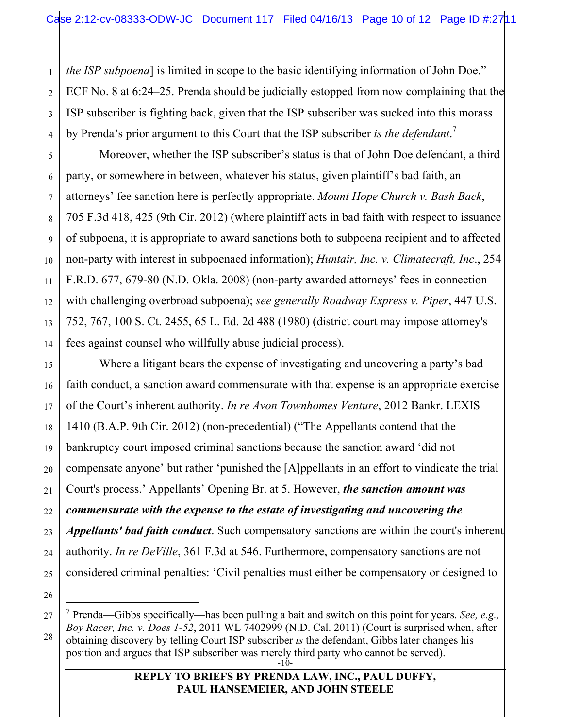*the ISP subpoena*] is limited in scope to the basic identifying information of John Doe." ECF No. 8 at 6:24–25. Prenda should be judicially estopped from now complaining that the ISP subscriber is fighting back, given that the ISP subscriber was sucked into this morass by Prenda's prior argument to this Court that the ISP subscriber *is the defendant*. 7

Moreover, whether the ISP subscriber's status is that of John Doe defendant, a third party, or somewhere in between, whatever his status, given plaintiff's bad faith, an attorneys' fee sanction here is perfectly appropriate. *Mount Hope Church v. Bash Back*, 705 F.3d 418, 425 (9th Cir. 2012) (where plaintiff acts in bad faith with respect to issuance of subpoena, it is appropriate to award sanctions both to subpoena recipient and to affected non-party with interest in subpoenaed information); *Huntair, Inc. v. Climatecraft, Inc*., 254 F.R.D. 677, 679-80 (N.D. Okla. 2008) (non-party awarded attorneys' fees in connection with challenging overbroad subpoena); *see generally Roadway Express v. Piper*, 447 U.S. 752, 767, 100 S. Ct. 2455, 65 L. Ed. 2d 488 (1980) (district court may impose attorney's fees against counsel who willfully abuse judicial process).

Where a litigant bears the expense of investigating and uncovering a party's bad faith conduct, a sanction award commensurate with that expense is an appropriate exercise of the Court's inherent authority. *In re Avon Townhomes Venture*, 2012 Bankr. LEXIS 1410 (B.A.P. 9th Cir. 2012) (non-precedential) ("The Appellants contend that the bankruptcy court imposed criminal sanctions because the sanction award 'did not compensate anyone' but rather 'punished the [A]ppellants in an effort to vindicate the trial Court's process.' Appellants' Opening Br. at 5. However, *the sanction amount was commensurate with the expense to the estate of investigating and uncovering the Appellants' bad faith conduct*. Such compensatory sanctions are within the court's inherent authority. *In re DeVille*, 361 F.3d at 546. Furthermore, compensatory sanctions are not considered criminal penalties: 'Civil penalties must either be compensatory or designed to

<sup>-10-</sup> 7 Prenda—Gibbs specifically—has been pulling a bait and switch on this point for years. *See, e.g., Boy Racer, Inc. v. Does 1-52*, 2011 WL 7402999 (N.D. Cal. 2011) (Court is surprised when, after obtaining discovery by telling Court ISP subscriber *is* the defendant, Gibbs later changes his position and argues that ISP subscriber was merely third party who cannot be served).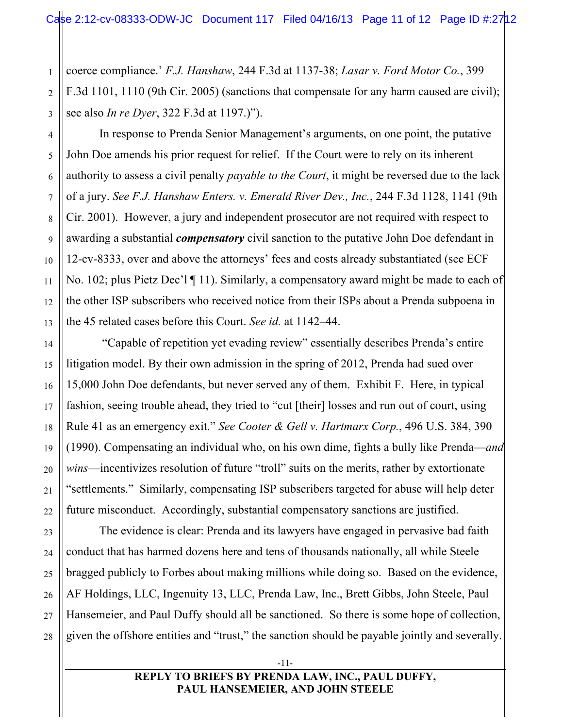coerce compliance.' *F.J. Hanshaw*, 244 F.3d at 1137-38; *Lasar v. Ford Motor Co.*, 399 F.3d 1101, 1110 (9th Cir. 2005) (sanctions that compensate for any harm caused are civil); see also *In re Dyer*, 322 F.3d at 1197.)").

In response to Prenda Senior Management's arguments, on one point, the putative John Doe amends his prior request for relief. If the Court were to rely on its inherent authority to assess a civil penalty *payable to the Court*, it might be reversed due to the lack of a jury. *See F.J. Hanshaw Enters. v. Emerald River Dev., Inc.*, 244 F.3d 1128, 1141 (9th Cir. 2001). However, a jury and independent prosecutor are not required with respect to awarding a substantial *compensatory* civil sanction to the putative John Doe defendant in 12-cv-8333, over and above the attorneys' fees and costs already substantiated (see ECF No. 102; plus Pietz Dec'l ¶ 11). Similarly, a compensatory award might be made to each of the other ISP subscribers who received notice from their ISPs about a Prenda subpoena in the 45 related cases before this Court. *See id.* at 1142–44.

 "Capable of repetition yet evading review" essentially describes Prenda's entire litigation model. By their own admission in the spring of 2012, Prenda had sued over 15,000 John Doe defendants, but never served any of them. Exhibit F. Here, in typical fashion, seeing trouble ahead, they tried to "cut [their] losses and run out of court, using Rule 41 as an emergency exit." *See Cooter & Gell v. Hartmarx Corp.*, 496 U.S. 384, 390 (1990). Compensating an individual who, on his own dime, fights a bully like Prenda—*and wins*—incentivizes resolution of future "troll" suits on the merits, rather by extortionate "settlements." Similarly, compensating ISP subscribers targeted for abuse will help deter future misconduct. Accordingly, substantial compensatory sanctions are justified.

The evidence is clear: Prenda and its lawyers have engaged in pervasive bad faith conduct that has harmed dozens here and tens of thousands nationally, all while Steele bragged publicly to Forbes about making millions while doing so. Based on the evidence, AF Holdings, LLC, Ingenuity 13, LLC, Prenda Law, Inc., Brett Gibbs, John Steele, Paul Hansemeier, and Paul Duffy should all be sanctioned. So there is some hope of collection, given the offshore entities and "trust," the sanction should be payable jointly and severally.

-11-

## **REPLY TO BRIEFS BY PRENDA LAW, INC., PAUL DUFFY, PAUL HANSEMEIER, AND JOHN STEELE**